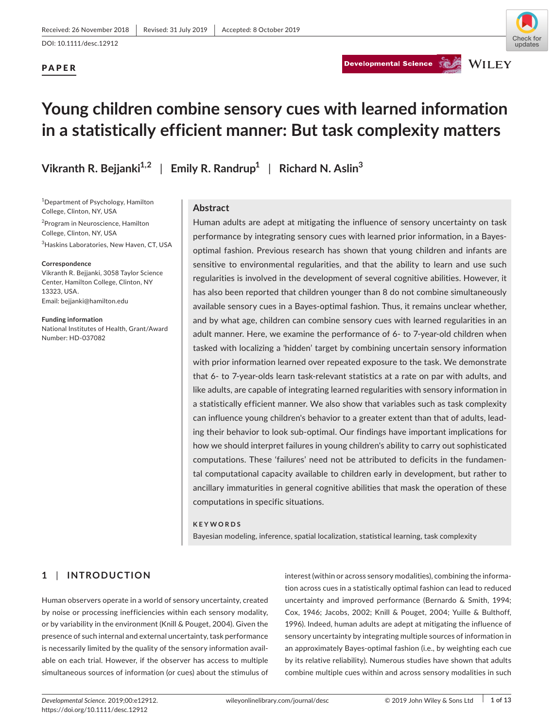# PAPER





# **Young children combine sensory cues with learned information in a statistically efficient manner: But task complexity matters**

1 Department of Psychology, Hamilton

2 Program in Neuroscience, Hamilton

3 Haskins Laboratories, New Haven, CT, USA

Vikranth R. Bejjanki, 3058 Taylor Science Center, Hamilton College, Clinton, NY

National Institutes of Health, Grant/Award

College, Clinton, NY, USA

College, Clinton, NY, USA

Email: [bejjanki@hamilton.edu](mailto:bejjanki@hamilton.edu)

**Funding information**

Number: HD‐037082

**Correspondence**

13323, USA.

**Vikranth R. Bejjanki1,2** | **Emily R. Randrup<sup>1</sup>** | **Richard N. Aslin<sup>3</sup>**

**Abstract**

Human adults are adept at mitigating the influence of sensory uncertainty on task performance by integrating sensory cues with learned prior information, in a Bayes‐ optimal fashion. Previous research has shown that young children and infants are sensitive to environmental regularities, and that the ability to learn and use such regularities is involved in the development of several cognitive abilities. However, it has also been reported that children younger than 8 do not combine simultaneously available sensory cues in a Bayes‐optimal fashion. Thus, it remains unclear whether, and by what age, children can combine sensory cues with learned regularities in an adult manner. Here, we examine the performance of 6‐ to 7‐year‐old children when tasked with localizing a 'hidden' target by combining uncertain sensory information with prior information learned over repeated exposure to the task. We demonstrate that 6‐ to 7‐year‐olds learn task‐relevant statistics at a rate on par with adults, and like adults, are capable of integrating learned regularities with sensory information in a statistically efficient manner. We also show that variables such as task complexity can influence young children's behavior to a greater extent than that of adults, lead‐ ing their behavior to look sub‐optimal. Our findings have important implications for how we should interpret failures in young children's ability to carry out sophisticated computations. These 'failures' need not be attributed to deficits in the fundamen‐ tal computational capacity available to children early in development, but rather to ancillary immaturities in general cognitive abilities that mask the operation of these computations in specific situations.

#### **KEYWORDS**

Bayesian modeling, inference, spatial localization, statistical learning, task complexity

# **1** | **INTRODUCTION**

Human observers operate in a world of sensory uncertainty, created by noise or processing inefficiencies within each sensory modality, or by variability in the environment (Knill & Pouget, 2004). Given the presence of such internal and external uncertainty, task performance is necessarily limited by the quality of the sensory information avail‐ able on each trial. However, if the observer has access to multiple simultaneous sources of information (or cues) about the stimulus of

interest (within or across sensory modalities), combining the informa‐ tion across cues in a statistically optimal fashion can lead to reduced uncertainty and improved performance (Bernardo & Smith, 1994; Cox, 1946; Jacobs, 2002; Knill & Pouget, 2004; Yuille & Bulthoff, 1996). Indeed, human adults are adept at mitigating the influence of sensory uncertainty by integrating multiple sources of information in an approximately Bayes‐optimal fashion (i.e., by weighting each cue by its relative reliability). Numerous studies have shown that adults combine multiple cues within and across sensory modalities in such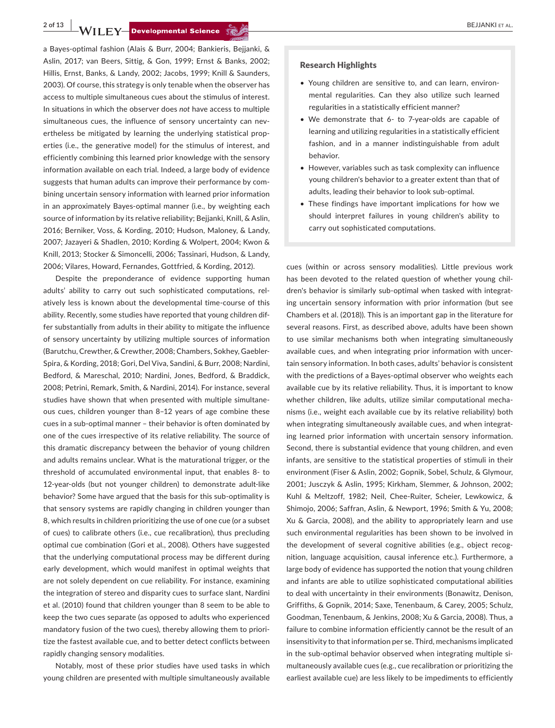**2 of 13 b BEJJANKI ET AL.** 

a Bayes‐optimal fashion (Alais & Burr, 2004; Bankieris, Bejjanki, & Aslin, 2017; van Beers, Sittig, & Gon, 1999; Ernst & Banks, 2002; Hillis, Ernst, Banks, & Landy, 2002; Jacobs, 1999; Knill & Saunders, 2003). Of course, this strategy is only tenable when the observer has access to multiple simultaneous cues about the stimulus of interest. In situations in which the observer does *not* have access to multiple simultaneous cues, the influence of sensory uncertainty can nevertheless be mitigated by learning the underlying statistical prop‐ erties (i.e., the generative model) for the stimulus of interest, and efficiently combining this learned prior knowledge with the sensory information available on each trial. Indeed, a large body of evidence suggests that human adults can improve their performance by combining uncertain sensory information with learned prior information in an approximately Bayes-optimal manner (i.e., by weighting each source of information by its relative reliability; Bejjanki, Knill, & Aslin, 2016; Berniker, Voss, & Kording, 2010; Hudson, Maloney, & Landy, 2007; Jazayeri & Shadlen, 2010; Kording & Wolpert, 2004; Kwon & Knill, 2013; Stocker & Simoncelli, 2006; Tassinari, Hudson, & Landy, 2006; Vilares, Howard, Fernandes, Gottfried, & Kording, 2012).

Despite the preponderance of evidence supporting human adults' ability to carry out such sophisticated computations, rel‐ atively less is known about the developmental time‐course of this ability. Recently, some studies have reported that young children dif‐ fer substantially from adults in their ability to mitigate the influence of sensory uncertainty by utilizing multiple sources of information (Barutchu, Crewther, & Crewther, 2008; Chambers, Sokhey, Gaebler‐ Spira, & Kording, 2018; Gori, Del Viva, Sandini, & Burr, 2008; Nardini, Bedford, & Mareschal, 2010; Nardini, Jones, Bedford, & Braddick, 2008; Petrini, Remark, Smith, & Nardini, 2014). For instance, several studies have shown that when presented with multiple simultane‐ ous cues, children younger than 8–12 years of age combine these cues in a sub‐optimal manner – their behavior is often dominated by one of the cues irrespective of its relative reliability. The source of this dramatic discrepancy between the behavior of young children and adults remains unclear. What is the maturational trigger, or the threshold of accumulated environmental input, that enables 8‐ to 12‐year‐olds (but not younger children) to demonstrate adult‐like behavior? Some have argued that the basis for this sub‐optimality is that sensory systems are rapidly changing in children younger than 8, which results in children prioritizing the use of one cue (or a subset of cues) to calibrate others (i.e., cue recalibration), thus precluding optimal cue combination (Gori et al., 2008). Others have suggested that the underlying computational process may be different during early development, which would manifest in optimal weights that are not solely dependent on cue reliability. For instance, examining the integration of stereo and disparity cues to surface slant, Nardini et al. (2010) found that children younger than 8 seem to be able to keep the two cues separate (as opposed to adults who experienced mandatory fusion of the two cues), thereby allowing them to priori‐ tize the fastest available cue, and to better detect conflicts between rapidly changing sensory modalities.

Notably, most of these prior studies have used tasks in which young children are presented with multiple simultaneously available

#### Research Highlights

- Young children are sensitive to, and can learn, environ‐ mental regularities. Can they also utilize such learned regularities in a statistically efficient manner?
- We demonstrate that 6- to 7-year-olds are capable of learning and utilizing regularities in a statistically efficient fashion, and in a manner indistinguishable from adult behavior.
- However, variables such as task complexity can influence young children's behavior to a greater extent than that of adults, leading their behavior to look sub‐optimal.
- These findings have important implications for how we should interpret failures in young children's ability to carry out sophisticated computations.

cues (within or across sensory modalities). Little previous work has been devoted to the related question of whether young children's behavior is similarly sub‐optimal when tasked with integrat‐ ing uncertain sensory information with prior information (but see Chambers et al. (2018)). This is an important gap in the literature for several reasons. First, as described above, adults have been shown to use similar mechanisms both when integrating simultaneously available cues, and when integrating prior information with uncer‐ tain sensory information. In both cases, adults' behavior is consistent with the predictions of a Bayes-optimal observer who weights each available cue by its relative reliability. Thus, it is important to know whether children, like adults, utilize similar computational mecha‐ nisms (i.e., weight each available cue by its relative reliability) both when integrating simultaneously available cues, and when integrating learned prior information with uncertain sensory information. Second, there is substantial evidence that young children, and even infants, are sensitive to the statistical properties of stimuli in their environment (Fiser & Aslin, 2002; Gopnik, Sobel, Schulz, & Glymour, 2001; Jusczyk & Aslin, 1995; Kirkham, Slemmer, & Johnson, 2002; Kuhl & Meltzoff, 1982; Neil, Chee‐Ruiter, Scheier, Lewkowicz, & Shimojo, 2006; Saffran, Aslin, & Newport, 1996; Smith & Yu, 2008; Xu & Garcia, 2008), and the ability to appropriately learn and use such environmental regularities has been shown to be involved in the development of several cognitive abilities (e.g., object recognition, language acquisition, causal inference etc.). Furthermore, a large body of evidence has supported the notion that young children and infants are able to utilize sophisticated computational abilities to deal with uncertainty in their environments (Bonawitz, Denison, Griffiths, & Gopnik, 2014; Saxe, Tenenbaum, & Carey, 2005; Schulz, Goodman, Tenenbaum, & Jenkins, 2008; Xu & Garcia, 2008). Thus, a failure to combine information efficiently cannot be the result of an insensitivity to that information per se. Third, mechanisms implicated in the sub-optimal behavior observed when integrating multiple simultaneously available cues (e.g., cue recalibration or prioritizing the earliest available cue) are less likely to be impediments to efficiently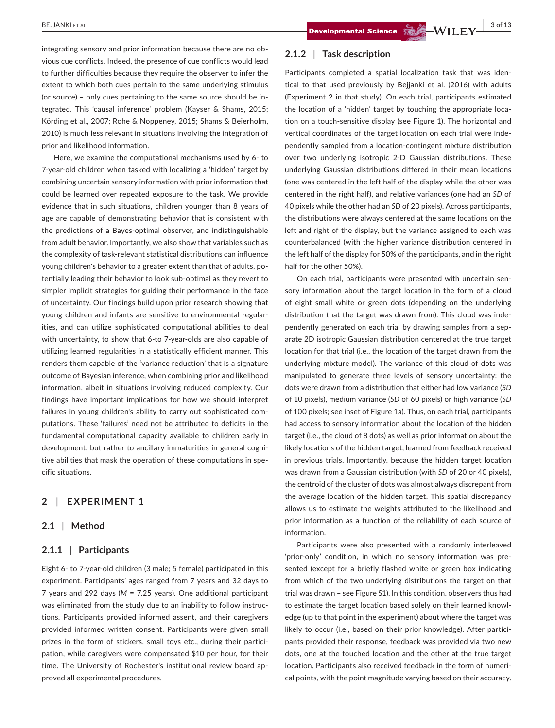integrating sensory and prior information because there are no obvious cue conflicts. Indeed, the presence of cue conflicts would lead to further difficulties because they require the observer to infer the extent to which both cues pertain to the same underlying stimulus (or source) – only cues pertaining to the same source should be in‐ tegrated. This 'causal inference' problem (Kayser & Shams, 2015; Körding et al., 2007; Rohe & Noppeney, 2015; Shams & Beierholm, 2010) is much less relevant in situations involving the integration of prior and likelihood information.

Here, we examine the computational mechanisms used by 6‐ to 7‐year‐old children when tasked with localizing a 'hidden' target by combining uncertain sensory information with prior information that could be learned over repeated exposure to the task. We provide evidence that in such situations, children younger than 8 years of age are capable of demonstrating behavior that is consistent with the predictions of a Bayes‐optimal observer, and indistinguishable from adult behavior. Importantly, we also show that variables such as the complexity of task‐relevant statistical distributions can influence young children's behavior to a greater extent than that of adults, po‐ tentially leading their behavior to look sub‐optimal as they revert to simpler implicit strategies for guiding their performance in the face of uncertainty. Our findings build upon prior research showing that young children and infants are sensitive to environmental regular‐ ities, and can utilize sophisticated computational abilities to deal with uncertainty, to show that 6-to 7-year-olds are also capable of utilizing learned regularities in a statistically efficient manner. This renders them capable of the 'variance reduction' that is a signature outcome of Bayesian inference, when combining prior and likelihood information, albeit in situations involving reduced complexity. Our findings have important implications for how we should interpret failures in young children's ability to carry out sophisticated com‐ putations. These 'failures' need not be attributed to deficits in the fundamental computational capacity available to children early in development, but rather to ancillary immaturities in general cogni‐ tive abilities that mask the operation of these computations in spe‐ cific situations.

## **2** | **EXPERIMENT 1**

## **2.1** | **Method**

## **2.1.1** | **Participants**

Eight 6‐ to 7‐year‐old children (3 male; 5 female) participated in this experiment. Participants' ages ranged from 7 years and 32 days to 7 years and 292 days (*M* = 7.25 years). One additional participant was eliminated from the study due to an inability to follow instructions. Participants provided informed assent, and their caregivers provided informed written consent. Participants were given small prizes in the form of stickers, small toys etc., during their participation, while caregivers were compensated \$10 per hour, for their time. The University of Rochester's institutional review board ap‐ proved all experimental procedures.

## **2.1.2** | **Task description**

Participants completed a spatial localization task that was iden‐ tical to that used previously by Bejjanki et al. (2016) with adults (Experiment 2 in that study). On each trial, participants estimated the location of a 'hidden' target by touching the appropriate loca‐ tion on a touch‐sensitive display (see Figure 1). The horizontal and vertical coordinates of the target location on each trial were inde‐ pendently sampled from a location‐contingent mixture distribution over two underlying isotropic 2‐D Gaussian distributions. These underlying Gaussian distributions differed in their mean locations (one was centered in the left half of the display while the other was centered in the right half), and relative variances (one had an *SD* of 40 pixels while the other had an *SD* of 20 pixels). Across participants, the distributions were always centered at the same locations on the left and right of the display, but the variance assigned to each was counterbalanced (with the higher variance distribution centered in the left half of the display for 50% of the participants, and in the right half for the other 50%).

On each trial, participants were presented with uncertain sen‐ sory information about the target location in the form of a cloud of eight small white or green dots (depending on the underlying distribution that the target was drawn from). This cloud was inde‐ pendently generated on each trial by drawing samples from a separate 2D isotropic Gaussian distribution centered at the true target location for that trial (i.e., the location of the target drawn from the underlying mixture model). The variance of this cloud of dots was manipulated to generate three levels of sensory uncertainty: the dots were drawn from a distribution that either had low variance (*SD* of 10 pixels), medium variance (*SD* of 60 pixels) or high variance (*SD* of 100 pixels; see inset of Figure 1a). Thus, on each trial, participants had access to sensory information about the location of the hidden target (i.e., the cloud of 8 dots) as well as prior information about the likely locations of the hidden target, learned from feedback received in previous trials. Importantly, because the hidden target location was drawn from a Gaussian distribution (with *SD* of 20 or 40 pixels), the centroid of the cluster of dots was almost always discrepant from the average location of the hidden target. This spatial discrepancy allows us to estimate the weights attributed to the likelihood and prior information as a function of the reliability of each source of information.

Participants were also presented with a randomly interleaved 'prior-only' condition, in which no sensory information was presented (except for a briefly flashed white or green box indicating from which of the two underlying distributions the target on that trial was drawn – see Figure S1). In this condition, observers thus had to estimate the target location based solely on their learned knowl‐ edge (up to that point in the experiment) about where the target was likely to occur (i.e., based on their prior knowledge). After participants provided their response, feedback was provided via two new dots, one at the touched location and the other at the true target location. Participants also received feedback in the form of numeri‐ cal points, with the point magnitude varying based on their accuracy.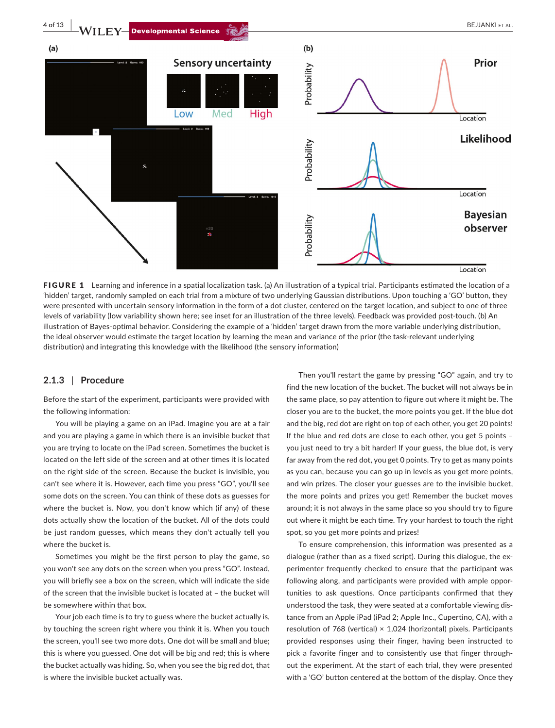

FIGURE 1 Learning and inference in a spatial localization task. (a) An illustration of a typical trial. Participants estimated the location of a 'hidden' target, randomly sampled on each trial from a mixture of two underlying Gaussian distributions. Upon touching a 'GO' button, they were presented with uncertain sensory information in the form of a dot cluster, centered on the target location, and subject to one of three levels of variability (low variability shown here; see inset for an illustration of the three levels). Feedback was provided post-touch. (b) An illustration of Bayes‐optimal behavior. Considering the example of a 'hidden' target drawn from the more variable underlying distribution, the ideal observer would estimate the target location by learning the mean and variance of the prior (the task‐relevant underlying distribution) and integrating this knowledge with the likelihood (the sensory information)

## **2.1.3** | **Procedure**

Before the start of the experiment, participants were provided with the following information:

You will be playing a game on an iPad. Imagine you are at a fair and you are playing a game in which there is an invisible bucket that you are trying to locate on the iPad screen. Sometimes the bucket is located on the left side of the screen and at other times it is located on the right side of the screen. Because the bucket is invisible, you can't see where it is. However, each time you press "GO", you'll see some dots on the screen. You can think of these dots as guesses for where the bucket is. Now, you don't know which (if any) of these dots actually show the location of the bucket. All of the dots could be just random guesses, which means they don't actually tell you where the bucket is.

Sometimes you might be the first person to play the game, so you won't see any dots on the screen when you press "GO". Instead, you will briefly see a box on the screen, which will indicate the side of the screen that the invisible bucket is located at – the bucket will be somewhere within that box.

Your job each time is to try to guess where the bucket actually is, by touching the screen right where you think it is. When you touch the screen, you'll see two more dots. One dot will be small and blue; this is where you guessed. One dot will be big and red; this is where the bucket actually was hiding. So, when you see the big red dot, that is where the invisible bucket actually was.

Then you'll restart the game by pressing "GO" again, and try to find the new location of the bucket. The bucket will not always be in the same place, so pay attention to figure out where it might be. The closer you are to the bucket, the more points you get. If the blue dot and the big, red dot are right on top of each other, you get 20 points! If the blue and red dots are close to each other, you get 5 points – you just need to try a bit harder! If your guess, the blue dot, is very far away from the red dot, you get 0 points. Try to get as many points as you can, because you can go up in levels as you get more points, and win prizes. The closer your guesses are to the invisible bucket, the more points and prizes you get! Remember the bucket moves around; it is not always in the same place so you should try to figure out where it might be each time. Try your hardest to touch the right spot, so you get more points and prizes!

To ensure comprehension, this information was presented as a dialogue (rather than as a fixed script). During this dialogue, the ex‐ perimenter frequently checked to ensure that the participant was following along, and participants were provided with ample oppor‐ tunities to ask questions. Once participants confirmed that they understood the task, they were seated at a comfortable viewing dis‐ tance from an Apple iPad (iPad 2; Apple Inc., Cupertino, CA), with a resolution of 768 (vertical)  $\times$  1,024 (horizontal) pixels. Participants provided responses using their finger, having been instructed to pick a favorite finger and to consistently use that finger through‐ out the experiment. At the start of each trial, they were presented with a 'GO' button centered at the bottom of the display. Once they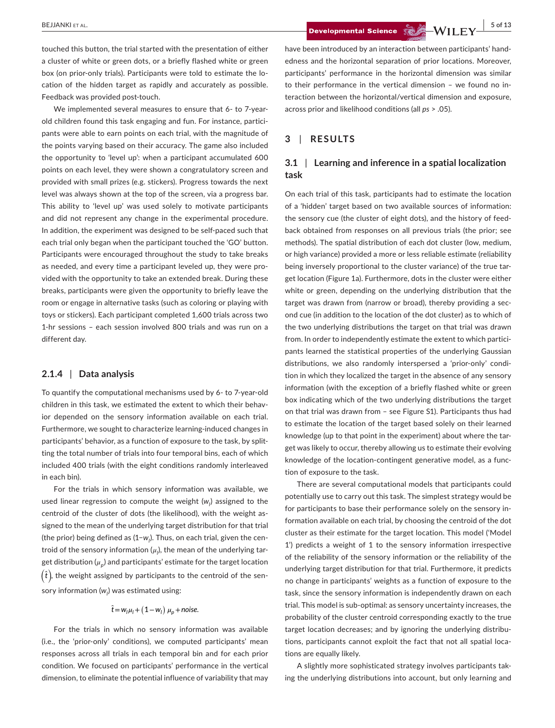touched this button, the trial started with the presentation of either a cluster of white or green dots, or a briefly flashed white or green box (on prior-only trials). Participants were told to estimate the location of the hidden target as rapidly and accurately as possible. Feedback was provided post-touch.

We implemented several measures to ensure that 6‐ to 7‐year‐ old children found this task engaging and fun. For instance, partici‐ pants were able to earn points on each trial, with the magnitude of the points varying based on their accuracy. The game also included the opportunity to 'level up': when a participant accumulated 600 points on each level, they were shown a congratulatory screen and provided with small prizes (e.g. stickers). Progress towards the next level was always shown at the top of the screen, via a progress bar. This ability to 'level up' was used solely to motivate participants and did not represent any change in the experimental procedure. In addition, the experiment was designed to be self‐paced such that each trial only began when the participant touched the 'GO' button. Participants were encouraged throughout the study to take breaks as needed, and every time a participant leveled up, they were pro‐ vided with the opportunity to take an extended break. During these breaks, participants were given the opportunity to briefly leave the room or engage in alternative tasks (such as coloring or playing with toys or stickers). Each participant completed 1,600 trials across two 1‐hr sessions – each session involved 800 trials and was run on a different day.

## **2.1.4** | **Data analysis**

To quantify the computational mechanisms used by 6‐ to 7‐year‐old children in this task, we estimated the extent to which their behavior depended on the sensory information available on each trial. Furthermore, we sought to characterize learning‐induced changes in participants' behavior, as a function of exposure to the task, by splitting the total number of trials into four temporal bins, each of which included 400 trials (with the eight conditions randomly interleaved in each bin).

For the trials in which sensory information was available, we used linear regression to compute the weight (w<sub>l</sub>) assigned to the centroid of the cluster of dots (the likelihood), with the weight as‐ signed to the mean of the underlying target distribution for that trial (the prior) being defined as (1−w<sub>l</sub>). Thus, on each trial, given the centroid of the sensory information ( $\mu_{\mid}$ ), the mean of the underlying target distribution  $(\mu_n)$  and participants' estimate for the target location  $(\hat{t})$ , the weight assigned by participants to the centroid of the sensory information (w<sub>l</sub>) was estimated using:

# $\hat{t} = w_l \mu_l + (1 - w_l) \mu_p + \text{noise}.$

For the trials in which no sensory information was available (i.e., the 'prior‐only' conditions), we computed participants' mean responses across all trials in each temporal bin and for each prior condition. We focused on participants' performance in the vertical dimension, to eliminate the potential influence of variability that may

 **BEJJANKI ET AL.** 5 of 13

have been introduced by an interaction between participants' handedness and the horizontal separation of prior locations. Moreover, participants' performance in the horizontal dimension was similar to their performance in the vertical dimension – we found no in‐ teraction between the horizontal/vertical dimension and exposure, across prior and likelihood conditions (all *ps* > .05).

# **3** | **RESULTS**

## **3.1** | **Learning and inference in a spatial localization task**

On each trial of this task, participants had to estimate the location of a 'hidden' target based on two available sources of information: the sensory cue (the cluster of eight dots), and the history of feed‐ back obtained from responses on all previous trials (the prior; see methods). The spatial distribution of each dot cluster (low, medium, or high variance) provided a more or less reliable estimate (reliability being inversely proportional to the cluster variance) of the true target location (Figure 1a). Furthermore, dots in the cluster were either white or green, depending on the underlying distribution that the target was drawn from (narrow or broad), thereby providing a sec‐ ond cue (in addition to the location of the dot cluster) as to which of the two underlying distributions the target on that trial was drawn from. In order to independently estimate the extent to which participants learned the statistical properties of the underlying Gaussian distributions, we also randomly interspersed a 'prior‐only' condi‐ tion in which they localized the target in the absence of any sensory information (with the exception of a briefly flashed white or green box indicating which of the two underlying distributions the target on that trial was drawn from – see Figure S1). Participants thus had to estimate the location of the target based solely on their learned knowledge (up to that point in the experiment) about where the target was likely to occur, thereby allowing us to estimate their evolving knowledge of the location‐contingent generative model, as a func‐ tion of exposure to the task.

There are several computational models that participants could potentially use to carry out this task. The simplest strategy would be for participants to base their performance solely on the sensory in‐ formation available on each trial, by choosing the centroid of the dot cluster as their estimate for the target location. This model ('Model 1') predicts a weight of 1 to the sensory information irrespective of the reliability of the sensory information or the reliability of the underlying target distribution for that trial. Furthermore, it predicts no change in participants' weights as a function of exposure to the task, since the sensory information is independently drawn on each trial. This model is sub‐optimal: as sensory uncertainty increases, the probability of the cluster centroid corresponding exactly to the true target location decreases; and by ignoring the underlying distribu‐ tions, participants cannot exploit the fact that not all spatial loca‐ tions are equally likely.

A slightly more sophisticated strategy involves participants tak‐ ing the underlying distributions into account, but only learning and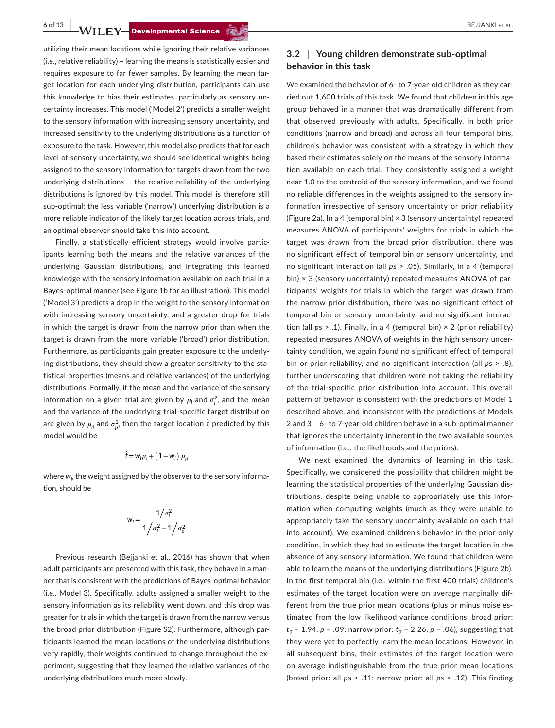**6 of 13 WILEY Developmental Science <b>Section BEJJANKI ET AL.** 

utilizing their mean locations while ignoring their relative variances (i.e., relative reliability) – learning the means is statistically easier and requires exposure to far fewer samples. By learning the mean tar‐ get location for each underlying distribution, participants can use this knowledge to bias their estimates, particularly as sensory un‐ certainty increases. This model ('Model 2') predicts a smaller weight to the sensory information with increasing sensory uncertainty, and increased sensitivity to the underlying distributions as a function of exposure to the task. However, this model also predicts that for each level of sensory uncertainty, we should see identical weights being assigned to the sensory information for targets drawn from the two underlying distributions – the relative reliability of the underlying distributions is ignored by this model. This model is therefore still sub-optimal: the less variable ('narrow') underlying distribution is a more reliable indicator of the likely target location across trials, and an optimal observer should take this into account.

Finally, a statistically efficient strategy would involve participants learning both the means and the relative variances of the underlying Gaussian distributions, and integrating this learned knowledge with the sensory information available on each trial in a Bayes‐optimal manner (see Figure 1b for an illustration). This model ('Model 3') predicts a drop in the weight to the sensory information with increasing sensory uncertainty, and a greater drop for trials in which the target is drawn from the narrow prior than when the target is drawn from the more variable ('broad') prior distribution. Furthermore, as participants gain greater exposure to the underly‐ ing distributions, they should show a greater sensitivity to the statistical properties (means and relative variances) of the underlying distributions. Formally, if the mean and the variance of the sensory information on a given trial are given by  $\mu_l$  and  $\sigma_l^2$ , and the mean and the variance of the underlying trial‐specific target distribution are given by  $\mu_p$  and  $\sigma_p^2$ , then the target location  $\hat{t}$  predicted by this model would be

$$
\hat{t} = w_l \mu_l + (1 - w_l) \mu_p
$$

where  $w_{\scriptscriptstyle \!P}$  the weight assigned by the observer to the sensory information, should be

$$
w_i = \frac{1/\sigma_i^2}{1/\sigma_i^2 + 1/\sigma_p^2}
$$

Previous research (Bejjanki et al., 2016) has shown that when adult participants are presented with this task, they behave in a man‐ ner that is consistent with the predictions of Bayes‐optimal behavior (i.e., Model 3). Specifically, adults assigned a smaller weight to the sensory information as its reliability went down, and this drop was greater for trials in which the target is drawn from the narrow versus the broad prior distribution (Figure S2). Furthermore, although par‐ ticipants learned the mean locations of the underlying distributions very rapidly, their weights continued to change throughout the experiment, suggesting that they learned the relative variances of the underlying distributions much more slowly.

# **3.2** | **Young children demonstrate sub‐optimal behavior in this task**

We examined the behavior of 6- to 7-year-old children as they carried out 1,600 trials of this task. We found that children in this age group behaved in a manner that was dramatically different from that observed previously with adults. Specifically, in both prior conditions (narrow and broad) and across all four temporal bins, children's behavior was consistent with a strategy in which they based their estimates solely on the means of the sensory informa‐ tion available on each trial. They consistently assigned a weight near 1.0 to the centroid of the sensory information, and we found no reliable differences in the weights assigned to the sensory in‐ formation irrespective of sensory uncertainty or prior reliability (Figure 2a). In a 4 (temporal bin)  $\times$  3 (sensory uncertainty) repeated measures ANOVA of participants' weights for trials in which the target was drawn from the broad prior distribution, there was no significant effect of temporal bin or sensory uncertainty, and no significant interaction (all *p*s > .05). Similarly, in a 4 (temporal bin) × 3 (sensory uncertainty) repeated measures ANOVA of participants' weights for trials in which the target was drawn from the narrow prior distribution, there was no significant effect of temporal bin or sensory uncertainty, and no significant interac‐ tion (all *p*s > .1). Finally, in a 4 (temporal bin) × 2 (prior reliability) repeated measures ANOVA of weights in the high sensory uncer‐ tainty condition, we again found no significant effect of temporal bin or prior reliability, and no significant interaction (all *p*s > .8), further underscoring that children were not taking the reliability of the trial‐specific prior distribution into account. This overall pattern of behavior is consistent with the predictions of Model 1 described above, and inconsistent with the predictions of Models 2 and 3 – 6‐ to 7‐year‐old children behave in a sub‐optimal manner that ignores the uncertainty inherent in the two available sources of information (i.e., the likelihoods and the priors).

We next examined the dynamics of learning in this task. Specifically, we considered the possibility that children might be learning the statistical properties of the underlying Gaussian dis‐ tributions, despite being unable to appropriately use this infor‐ mation when computing weights (much as they were unable to appropriately take the sensory uncertainty available on each trial into account). We examined children's behavior in the prior‐only condition, in which they had to estimate the target location in the absence of any sensory information. We found that children were able to learn the means of the underlying distributions (Figure 2b). In the first temporal bin (i.e., within the first 400 trials) children's estimates of the target location were on average marginally dif‐ ferent from the true prior mean locations (plus or minus noise es‐ timated from the low likelihood variance conditions; broad prior:  $t_7$  = 1.94, *p* = .09; narrow prior:  $t_7$  = 2.26, *p* = .06), suggesting that they were yet to perfectly learn the mean locations. However, in all subsequent bins, their estimates of the target location were on average indistinguishable from the true prior mean locations (broad prior: all *p*s > .11; narrow prior: all *p*s > .12). This finding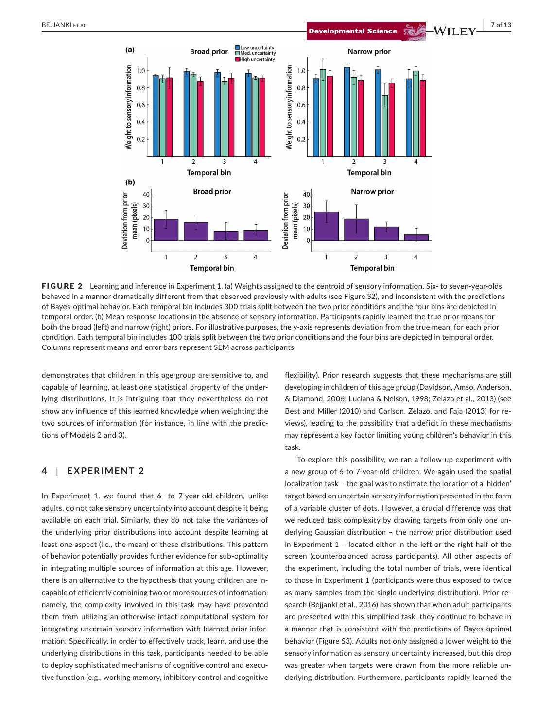

FIGURE 2 Learning and inference in Experiment 1. (a) Weights assigned to the centroid of sensory information. Six- to seven-year-olds behaved in a manner dramatically different from that observed previously with adults (see Figure S2), and inconsistent with the predictions of Bayes‐optimal behavior. Each temporal bin includes 300 trials split between the two prior conditions and the four bins are depicted in temporal order. (b) Mean response locations in the absence of sensory information. Participants rapidly learned the true prior means for both the broad (left) and narrow (right) priors. For illustrative purposes, the y‐axis represents deviation from the true mean, for each prior condition. Each temporal bin includes 100 trials split between the two prior conditions and the four bins are depicted in temporal order. Columns represent means and error bars represent SEM across participants

demonstrates that children in this age group are sensitive to, and capable of learning, at least one statistical property of the under‐ lying distributions. It is intriguing that they nevertheless do not show any influence of this learned knowledge when weighting the two sources of information (for instance, in line with the predic‐ tions of Models 2 and 3).

# **4** | **EXPERIMENT 2**

In Experiment 1, we found that 6- to 7-year-old children, unlike adults, do not take sensory uncertainty into account despite it being available on each trial. Similarly, they do not take the variances of the underlying prior distributions into account despite learning at least one aspect (i.e., the mean) of these distributions. This pattern of behavior potentially provides further evidence for sub‐optimality in integrating multiple sources of information at this age. However, there is an alternative to the hypothesis that young children are in‐ capable of efficiently combining two or more sources of information: namely, the complexity involved in this task may have prevented them from utilizing an otherwise intact computational system for integrating uncertain sensory information with learned prior infor‐ mation. Specifically, in order to effectively track, learn, and use the underlying distributions in this task, participants needed to be able to deploy sophisticated mechanisms of cognitive control and executive function (e.g., working memory, inhibitory control and cognitive

flexibility). Prior research suggests that these mechanisms are still developing in children of this age group (Davidson, Amso, Anderson, & Diamond, 2006; Luciana & Nelson, 1998; Zelazo et al., 2013) (see Best and Miller (2010) and Carlson, Zelazo, and Faja (2013) for re‐ views), leading to the possibility that a deficit in these mechanisms may represent a key factor limiting young children's behavior in this task.

To explore this possibility, we ran a follow‐up experiment with a new group of 6‐to 7‐year‐old children. We again used the spatial localization task – the goal was to estimate the location of a 'hidden' target based on uncertain sensory information presented in the form of a variable cluster of dots. However, a crucial difference was that we reduced task complexity by drawing targets from only one underlying Gaussian distribution – the narrow prior distribution used in Experiment 1 – located either in the left or the right half of the screen (counterbalanced across participants). All other aspects of the experiment, including the total number of trials, were identical to those in Experiment 1 (participants were thus exposed to twice as many samples from the single underlying distribution). Prior re‐ search (Bejjanki et al., 2016) has shown that when adult participants are presented with this simplified task, they continue to behave in a manner that is consistent with the predictions of Bayes‐optimal behavior (Figure S3). Adults not only assigned a lower weight to the sensory information as sensory uncertainty increased, but this drop was greater when targets were drawn from the more reliable underlying distribution. Furthermore, participants rapidly learned the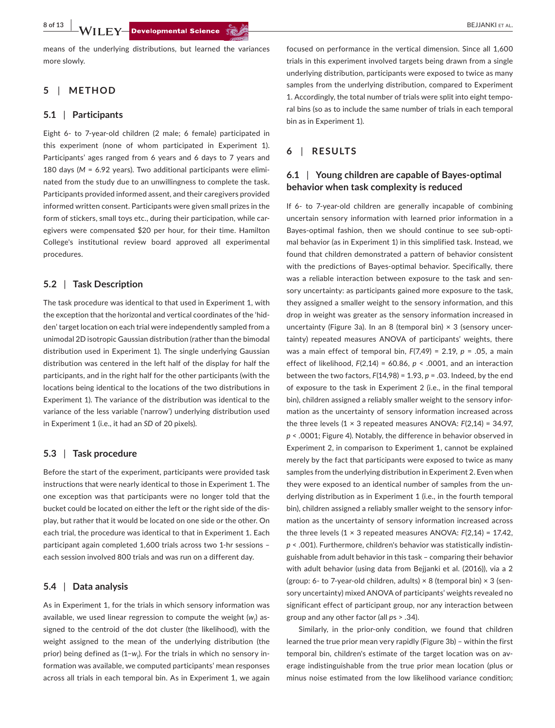means of the underlying distributions, but learned the variances more slowly.

# **5** | **METHOD**

#### **5.1** | **Participants**

Eight 6‐ to 7‐year‐old children (2 male; 6 female) participated in this experiment (none of whom participated in Experiment 1). Participants' ages ranged from 6 years and 6 days to 7 years and 180 days (*M* = 6.92 years). Two additional participants were elimi‐ nated from the study due to an unwillingness to complete the task. Participants provided informed assent, and their caregivers provided informed written consent. Participants were given small prizes in the form of stickers, small toys etc., during their participation, while caregivers were compensated \$20 per hour, for their time. Hamilton College's institutional review board approved all experimental procedures.

## **5.2** | **Task Description**

The task procedure was identical to that used in Experiment 1, with the exception that the horizontal and vertical coordinates of the 'hid‐ den' target location on each trial were independently sampled from a unimodal 2D isotropic Gaussian distribution (rather than the bimodal distribution used in Experiment 1). The single underlying Gaussian distribution was centered in the left half of the display for half the participants, and in the right half for the other participants (with the locations being identical to the locations of the two distributions in Experiment 1). The variance of the distribution was identical to the variance of the less variable ('narrow') underlying distribution used in Experiment 1 (i.e., it had an *SD* of 20 pixels).

## **5.3** | **Task procedure**

Before the start of the experiment, participants were provided task instructions that were nearly identical to those in Experiment 1. The one exception was that participants were no longer told that the bucket could be located on either the left or the right side of the dis‐ play, but rather that it would be located on one side or the other. On each trial, the procedure was identical to that in Experiment 1. Each participant again completed 1,600 trials across two 1‐hr sessions – each session involved 800 trials and was run on a different day.

## **5.4** | **Data analysis**

As in Experiment 1, for the trials in which sensory information was available, we used linear regression to compute the weight (w<sub>1</sub>) assigned to the centroid of the dot cluster (the likelihood), with the weight assigned to the mean of the underlying distribution (the prior) being defined as (1−*w<sub>l</sub>*). For the trials in which no sensory information was available, we computed participants' mean responses across all trials in each temporal bin. As in Experiment 1, we again

focused on performance in the vertical dimension. Since all 1,600 trials in this experiment involved targets being drawn from a single underlying distribution, participants were exposed to twice as many samples from the underlying distribution, compared to Experiment 1. Accordingly, the total number of trials were split into eight tempo‐ ral bins (so as to include the same number of trials in each temporal bin as in Experiment 1).

# **6** | **RESULTS**

## **6.1** | **Young children are capable of Bayes‐optimal behavior when task complexity is reduced**

If 6‐ to 7‐year‐old children are generally incapable of combining uncertain sensory information with learned prior information in a Bayes‐optimal fashion, then we should continue to see sub‐opti‐ mal behavior (as in Experiment 1) in this simplified task. Instead, we found that children demonstrated a pattern of behavior consistent with the predictions of Bayes-optimal behavior. Specifically, there was a reliable interaction between exposure to the task and sensory uncertainty: as participants gained more exposure to the task, they assigned a smaller weight to the sensory information, and this drop in weight was greater as the sensory information increased in uncertainty (Figure 3a). In an 8 (temporal bin)  $\times$  3 (sensory uncertainty) repeated measures ANOVA of participants' weights, there was a main effect of temporal bin, *F*(7,49) = 2.19, *p* = .05, a main effect of likelihood, *F*(2,14) = 60.86, *p* < .0001, and an interaction between the two factors, *F*(14,98) = 1.93, *p* = .03. Indeed, by the end of exposure to the task in Experiment 2 (i.e., in the final temporal bin), children assigned a reliably smaller weight to the sensory infor‐ mation as the uncertainty of sensory information increased across the three levels  $(1 \times 3$  repeated measures ANOVA:  $F(2,14) = 34.97$ , *p* < .0001; Figure 4). Notably, the difference in behavior observed in Experiment 2, in comparison to Experiment 1, cannot be explained merely by the fact that participants were exposed to twice as many samples from the underlying distribution in Experiment 2. Even when they were exposed to an identical number of samples from the un‐ derlying distribution as in Experiment 1 (i.e., in the fourth temporal bin), children assigned a reliably smaller weight to the sensory information as the uncertainty of sensory information increased across the three levels  $(1 \times 3$  repeated measures ANOVA:  $F(2,14) = 17.42$ , *p* < .001). Furthermore, children's behavior was statistically indistin‐ guishable from adult behavior in this task – comparing their behavior with adult behavior (using data from Bejjanki et al. (2016)), via a 2 (group: 6- to 7-year-old children, adults)  $\times$  8 (temporal bin)  $\times$  3 (sensory uncertainty) mixed ANOVA of participants' weights revealed no significant effect of participant group, nor any interaction between group and any other factor (all *p*s > .34).

Similarly, in the prior-only condition, we found that children learned the true prior mean very rapidly (Figure 3b) – within the first temporal bin, children's estimate of the target location was on av‐ erage indistinguishable from the true prior mean location (plus or minus noise estimated from the low likelihood variance condition;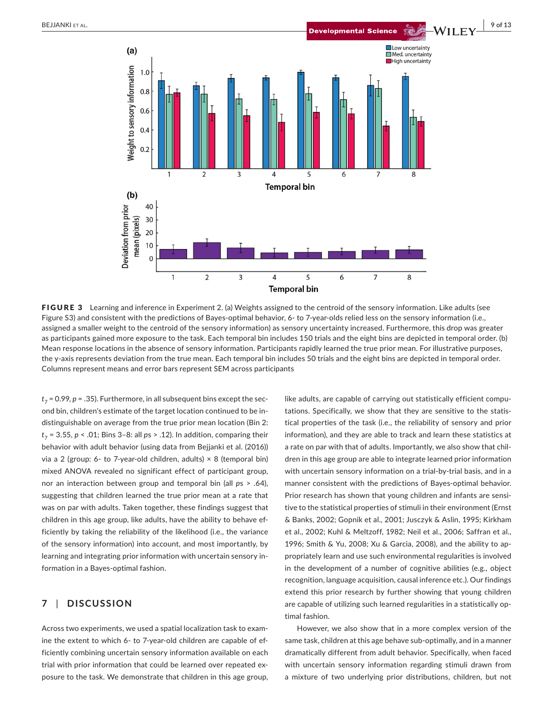

FIGURE 3 Learning and inference in Experiment 2. (a) Weights assigned to the centroid of the sensory information. Like adults (see Figure S3) and consistent with the predictions of Bayes-optimal behavior, 6- to 7-year-olds relied less on the sensory information (i.e., assigned a smaller weight to the centroid of the sensory information) as sensory uncertainty increased. Furthermore, this drop was greater as participants gained more exposure to the task. Each temporal bin includes 150 trials and the eight bins are depicted in temporal order. (b) Mean response locations in the absence of sensory information. Participants rapidly learned the true prior mean. For illustrative purposes, the y-axis represents deviation from the true mean. Each temporal bin includes 50 trials and the eight bins are depicted in temporal order. Columns represent means and error bars represent SEM across participants

 $t_7$  = 0.99,  $p$  = .35). Furthermore, in all subsequent bins except the second bin, children's estimate of the target location continued to be in‐ distinguishable on average from the true prior mean location (Bin 2: *t*<sup>7</sup> = 3.55, *p* < .01; Bins 3–8: all *p*s > .12). In addition, comparing their behavior with adult behavior (using data from Bejjanki et al. (2016)) via a 2 (group: 6- to 7-year-old children, adults)  $\times$  8 (temporal bin) mixed ANOVA revealed no significant effect of participant group, nor an interaction between group and temporal bin (all *p*s > .64), suggesting that children learned the true prior mean at a rate that was on par with adults. Taken together, these findings suggest that children in this age group, like adults, have the ability to behave ef‐ ficiently by taking the reliability of the likelihood (i.e., the variance of the sensory information) into account, and most importantly, by learning and integrating prior information with uncertain sensory in‐ formation in a Bayes‐optimal fashion.

# **7** | **DISCUSSION**

Across two experiments, we used a spatial localization task to exam‐ ine the extent to which 6‐ to 7‐year‐old children are capable of ef‐ ficiently combining uncertain sensory information available on each trial with prior information that could be learned over repeated exposure to the task. We demonstrate that children in this age group, like adults, are capable of carrying out statistically efficient compu‐ tations. Specifically, we show that they are sensitive to the statis‐ tical properties of the task (i.e., the reliability of sensory and prior information), and they are able to track and learn these statistics at a rate on par with that of adults. Importantly, we also show that chil‐ dren in this age group are able to integrate learned prior information with uncertain sensory information on a trial-by-trial basis, and in a manner consistent with the predictions of Bayes‐optimal behavior. Prior research has shown that young children and infants are sensi‐ tive to the statistical properties of stimuli in their environment (Ernst & Banks, 2002; Gopnik et al., 2001; Jusczyk & Aslin, 1995; Kirkham et al., 2002; Kuhl & Meltzoff, 1982; Neil et al., 2006; Saffran et al., 1996; Smith & Yu, 2008; Xu & Garcia, 2008), and the ability to ap‐ propriately learn and use such environmental regularities is involved in the development of a number of cognitive abilities (e.g., object recognition, language acquisition, causal inference etc.). Our findings extend this prior research by further showing that young children are capable of utilizing such learned regularities in a statistically optimal fashion.

However, we also show that in a more complex version of the same task, children at this age behave sub‐optimally, and in a manner dramatically different from adult behavior. Specifically, when faced with uncertain sensory information regarding stimuli drawn from a mixture of two underlying prior distributions, children, but not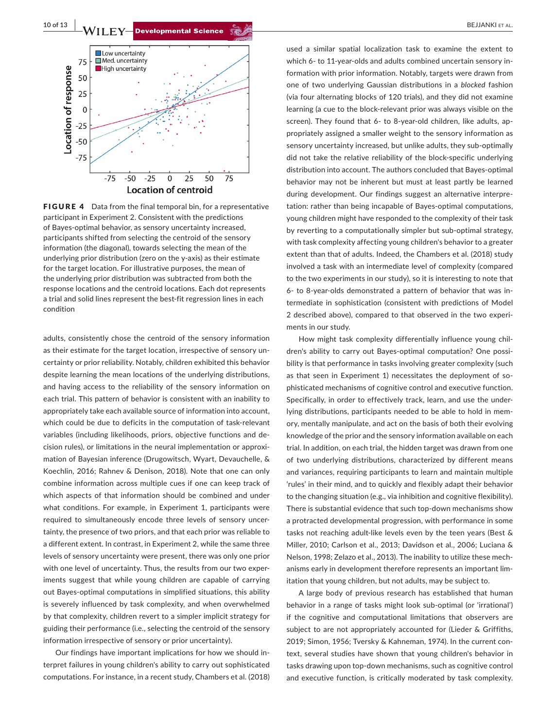

FIGURE 4 Data from the final temporal bin, for a representative participant in Experiment 2. Consistent with the predictions of Bayes‐optimal behavior, as sensory uncertainty increased, participants shifted from selecting the centroid of the sensory information (the diagonal), towards selecting the mean of the underlying prior distribution (zero on the y-axis) as their estimate for the target location. For illustrative purposes, the mean of the underlying prior distribution was subtracted from both the response locations and the centroid locations. Each dot represents a trial and solid lines represent the best-fit regression lines in each condition

adults, consistently chose the centroid of the sensory information as their estimate for the target location, irrespective of sensory uncertainty or prior reliability. Notably, children exhibited this behavior despite learning the mean locations of the underlying distributions, and having access to the reliability of the sensory information on each trial. This pattern of behavior is consistent with an inability to appropriately take each available source of information into account, which could be due to deficits in the computation of task-relevant variables (including likelihoods, priors, objective functions and de‐ cision rules), or limitations in the neural implementation or approxi‐ mation of Bayesian inference (Drugowitsch, Wyart, Devauchelle, & Koechlin, 2016; Rahnev & Denison, 2018). Note that one can only combine information across multiple cues if one can keep track of which aspects of that information should be combined and under what conditions. For example, in Experiment 1, participants were required to simultaneously encode three levels of sensory uncer‐ tainty, the presence of two priors, and that each prior was reliable to a different extent. In contrast, in Experiment 2, while the same three levels of sensory uncertainty were present, there was only one prior with one level of uncertainty. Thus, the results from our two experiments suggest that while young children are capable of carrying out Bayes‐optimal computations in simplified situations, this ability is severely influenced by task complexity, and when overwhelmed by that complexity, children revert to a simpler implicit strategy for guiding their performance (i.e., selecting the centroid of the sensory information irrespective of sensory or prior uncertainty).

Our findings have important implications for how we should in‐ terpret failures in young children's ability to carry out sophisticated computations. For instance, in a recent study, Chambers et al. (2018)

used a similar spatial localization task to examine the extent to which 6- to 11-year-olds and adults combined uncertain sensory information with prior information. Notably, targets were drawn from one of two underlying Gaussian distributions in a *blocked* fashion (via four alternating blocks of 120 trials), and they did not examine learning (a cue to the block‐relevant prior was always visible on the screen). They found that 6- to 8-year-old children, like adults, appropriately assigned a smaller weight to the sensory information as sensory uncertainty increased, but unlike adults, they sub-optimally did not take the relative reliability of the block‐specific underlying distribution into account. The authors concluded that Bayes‐optimal behavior may not be inherent but must at least partly be learned during development. Our findings suggest an alternative interpre‐ tation: rather than being incapable of Bayes‐optimal computations, young children might have responded to the complexity of their task by reverting to a computationally simpler but sub‐optimal strategy, with task complexity affecting young children's behavior to a greater extent than that of adults. Indeed, the Chambers et al. (2018) study involved a task with an intermediate level of complexity (compared to the two experiments in our study), so it is interesting to note that 6‐ to 8‐year‐olds demonstrated a pattern of behavior that was in‐ termediate in sophistication (consistent with predictions of Model 2 described above), compared to that observed in the two experi‐ ments in our study.

How might task complexity differentially influence young chil‐ dren's ability to carry out Bayes‐optimal computation? One possi‐ bility is that performance in tasks involving greater complexity (such as that seen in Experiment 1) necessitates the deployment of sophisticated mechanisms of cognitive control and executive function. Specifically, in order to effectively track, learn, and use the under‐ lying distributions, participants needed to be able to hold in mem‐ ory, mentally manipulate, and act on the basis of both their evolving knowledge of the prior and the sensory information available on each trial. In addition, on each trial, the hidden target was drawn from one of two underlying distributions, characterized by different means and variances, requiring participants to learn and maintain multiple 'rules' in their mind, and to quickly and flexibly adapt their behavior to the changing situation (e.g., via inhibition and cognitive flexibility). There is substantial evidence that such top‐down mechanisms show a protracted developmental progression, with performance in some tasks not reaching adult-like levels even by the teen years (Best & Miller, 2010; Carlson et al., 2013; Davidson et al., 2006; Luciana & Nelson, 1998; Zelazo et al., 2013). The inability to utilize these mech‐ anisms early in development therefore represents an important lim‐ itation that young children, but not adults, may be subject to.

A large body of previous research has established that human behavior in a range of tasks might look sub‐optimal (or 'irrational') if the cognitive and computational limitations that observers are subject to are not appropriately accounted for (Lieder & Griffiths, 2019; Simon, 1956; Tversky & Kahneman, 1974). In the current con‐ text, several studies have shown that young children's behavior in tasks drawing upon top‐down mechanisms, such as cognitive control and executive function, is critically moderated by task complexity.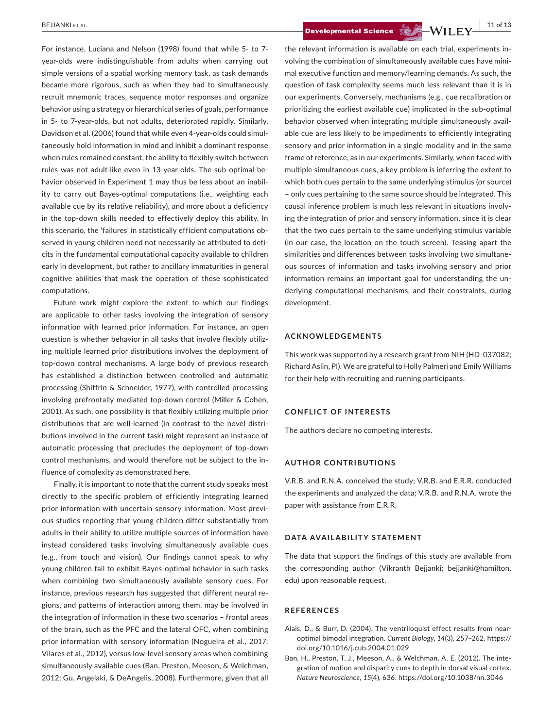For instance, Luciana and Nelson (1998) found that while 5‐ to 7‐ year-olds were indistinguishable from adults when carrying out simple versions of a spatial working memory task, as task demands became more rigorous, such as when they had to simultaneously recruit mnemonic traces, sequence motor responses and organize behavior using a strategy or hierarchical series of goals, performance in 5‐ to 7‐year‐olds, but not adults, deteriorated rapidly. Similarly, Davidson et al. (2006) found that while even 4‐year‐olds could simul‐ taneously hold information in mind and inhibit a dominant response when rules remained constant, the ability to flexibly switch between rules was not adult‐like even in 13‐year‐olds. The sub‐optimal be‐ havior observed in Experiment 1 may thus be less about an inability to carry out Bayes‐optimal computations (i.e., weighting each available cue by its relative reliability), and more about a deficiency in the top-down skills needed to effectively deploy this ability. In this scenario, the 'failures' in statistically efficient computations ob‐ served in young children need not necessarily be attributed to deficits in the fundamental computational capacity available to children early in development, but rather to ancillary immaturities in general cognitive abilities that mask the operation of these sophisticated computations.

Future work might explore the extent to which our findings are applicable to other tasks involving the integration of sensory information with learned prior information. For instance, an open question is whether behavior in all tasks that involve flexibly utiliz‐ ing multiple learned prior distributions involves the deployment of top‐down control mechanisms. A large body of previous research has established a distinction between controlled and automatic processing (Shiffrin & Schneider, 1977), with controlled processing involving prefrontally mediated top‐down control (Miller & Cohen, 2001). As such, one possibility is that flexibly utilizing multiple prior distributions that are well-learned (in contrast to the novel distributions involved in the current task) might represent an instance of automatic processing that precludes the deployment of top‐down control mechanisms, and would therefore not be subject to the in‐ fluence of complexity as demonstrated here.

Finally, it is important to note that the current study speaks most directly to the specific problem of efficiently integrating learned prior information with uncertain sensory information. Most previous studies reporting that young children differ substantially from adults in their ability to utilize multiple sources of information have instead considered tasks involving simultaneously available cues (e.g., from touch and vision). Our findings cannot speak to why young children fail to exhibit Bayes‐optimal behavior in such tasks when combining two simultaneously available sensory cues. For instance, previous research has suggested that different neural re‐ gions, and patterns of interaction among them, may be involved in the integration of information in these two scenarios – frontal areas of the brain, such as the PFC and the lateral OFC, when combining prior information with sensory information (Nogueira et al., 2017; Vilares et al., 2012), versus low‐level sensory areas when combining simultaneously available cues (Ban, Preston, Meeson, & Welchman, 2012; Gu, Angelaki, & DeAngelis, 2008). Furthermore, given that all

 **BEJJANKI ET AL.** 11 of 13

the relevant information is available on each trial, experiments in‐ volving the combination of simultaneously available cues have mini‐ mal executive function and memory/learning demands. As such, the question of task complexity seems much less relevant than it is in our experiments. Conversely, mechanisms (e.g., cue recalibration or prioritizing the earliest available cue) implicated in the sub‐optimal behavior observed when integrating multiple simultaneously avail‐ able cue are less likely to be impediments to efficiently integrating sensory and prior information in a single modality and in the same frame of reference, as in our experiments. Similarly, when faced with multiple simultaneous cues, a key problem is inferring the extent to which both cues pertain to the same underlying stimulus (or source) – only cues pertaining to the same source should be integrated. This causal inference problem is much less relevant in situations involving the integration of prior and sensory information, since it is clear that the two cues pertain to the same underlying stimulus variable (in our case, the location on the touch screen). Teasing apart the similarities and differences between tasks involving two simultane‐ ous sources of information and tasks involving sensory and prior information remains an important goal for understanding the underlying computational mechanisms, and their constraints, during development.

#### **ACKNOWLEDGEMENTS**

This work was supported by a research grant from NIH (HD‐037082; Richard Aslin, PI). We are grateful to Holly Palmeri and Emily Williams for their help with recruiting and running participants.

#### **CONFLICT OF INTERESTS**

The authors declare no competing interests.

#### **AUTHOR CONTRIBUTIONS**

V.R.B. and R.N.A. conceived the study; V.R.B. and E.R.R. conducted the experiments and analyzed the data; V.R.B. and R.N.A. wrote the paper with assistance from E.R.R.

#### **DATA AVAILABILITY STATEMENT**

The data that support the findings of this study are available from the corresponding author (Vikranth Bejjanki; [bejjanki@hamilton.](mailto:bejjanki@hamilton.edu) [edu](mailto:bejjanki@hamilton.edu)) upon reasonable request.

#### **REFERENCES**

- Alais, D., & Burr, D. (2004). The ventriloquist effect results from near‐ optimal bimodal integration. *Current Biology*, *14*(3), 257–262. [https://](https://doi.org/10.1016/j.cub.2004.01.029) [doi.org/10.1016/j.cub.2004.01.029](https://doi.org/10.1016/j.cub.2004.01.029)
- Ban, H., Preston, T. J., Meeson, A., & Welchman, A. E. (2012). The inte‐ gration of motion and disparity cues to depth in dorsal visual cortex. *Nature Neuroscience*, *15*(4), 636. <https://doi.org/10.1038/nn.3046>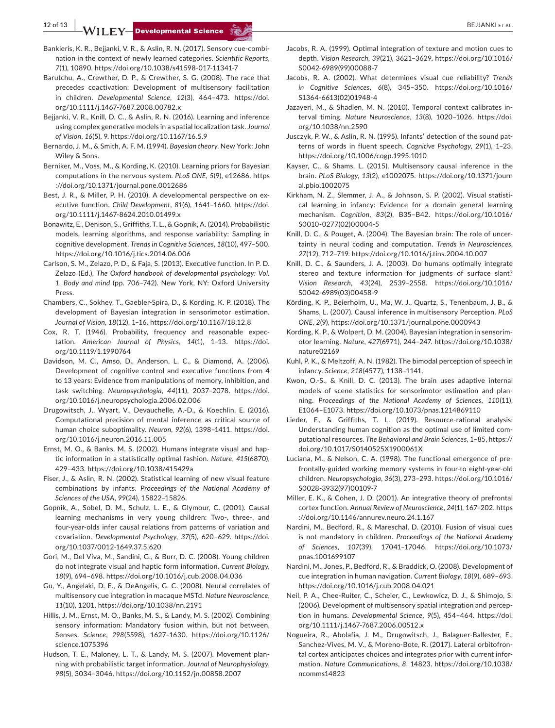**12 of 13 BEJJANKI ET AL.**<br>**CONTRACT DEVELOPMENTAL Science**  $\sum_{k=1}^{\infty}$ 

- Bankieris, K. R., Beijanki, V. R., & Aslin, R. N. (2017). Sensory cue-combination in the context of newly learned categories. *Scientific Reports*, *7*(1), 10890. <https://doi.org/10.1038/s41598-017-11341-7>
- Barutchu, A., Crewther, D. P., & Crewther, S. G. (2008). The race that precedes coactivation: Development of multisensory facilitation in children. *Developmental Science*, *12*(3), 464–473. [https://doi.](https://doi.org/10.1111/j.1467-7687.2008.00782.x) [org/10.1111/j.1467-7687.2008.00782.x](https://doi.org/10.1111/j.1467-7687.2008.00782.x)
- Bejjanki, V. R., Knill, D. C., & Aslin, R. N. (2016). Learning and inference using complex generative models in a spatial localization task. *Journal of Vision*, *16*(5), 9. <https://doi.org/10.1167/16.5.9>
- Bernardo, J. M., & Smith, A. F. M. (1994). *Bayesian theory*. New York: John Wiley & Sons.
- Berniker, M., Voss, M., & Kording, K. (2010). Learning priors for Bayesian computations in the nervous system. *PLoS ONE*, *5*(9), e12686. [https](https://doi.org/10.1371/journal.pone.0012686) [://doi.org/10.1371/journal.pone.0012686](https://doi.org/10.1371/journal.pone.0012686)
- Best, J. R., & Miller, P. H. (2010). A developmental perspective on executive function. *Child Development*, *81*(6), 1641–1660. [https://doi.](https://doi.org/10.1111/j.1467-8624.2010.01499.x) [org/10.1111/j.1467-8624.2010.01499.x](https://doi.org/10.1111/j.1467-8624.2010.01499.x)
- Bonawitz, E., Denison, S., Griffiths, T. L., & Gopnik, A. (2014). Probabilistic models, learning algorithms, and response variability: Sampling in cognitive development. *Trends in Cognitive Sciences*, *18*(10), 497–500. <https://doi.org/10.1016/j.tics.2014.06.006>
- Carlson, S. M., Zelazo, P. D., & Faja, S. (2013). Executive function. In P. D. Zelazo (Ed.), *The Oxford handbook of developmental psychology: Vol. 1. Body and mind* (pp. 706–742). New York, NY: Oxford University Press.
- Chambers, C., Sokhey, T., Gaebler‐Spira, D., & Kording, K. P. (2018). The development of Bayesian integration in sensorimotor estimation. *Journal of Vision*, *18*(12), 1–16. <https://doi.org/10.1167/18.12.8>
- Cox, R. T. (1946). Probability, frequency and reasonable expec‐ tation. *American Journal of Physics*, *14*(1), 1–13. [https://doi.](https://doi.org/10.1119/1.1990764) [org/10.1119/1.1990764](https://doi.org/10.1119/1.1990764)
- Davidson, M. C., Amso, D., Anderson, L. C., & Diamond, A. (2006). Development of cognitive control and executive functions from 4 to 13 years: Evidence from manipulations of memory, inhibition, and task switching. *Neuropsychologia*, *44*(11), 2037–2078. [https://doi.](https://doi.org/10.1016/j.neuropsychologia.2006.02.006) [org/10.1016/j.neuropsychologia.2006.02.006](https://doi.org/10.1016/j.neuropsychologia.2006.02.006)
- Drugowitsch, J., Wyart, V., Devauchelle, A.‐D., & Koechlin, E. (2016). Computational precision of mental inference as critical source of human choice suboptimality. *Neuron*, *92*(6), 1398–1411. [https://doi.](https://doi.org/10.1016/j.neuron.2016.11.005) [org/10.1016/j.neuron.2016.11.005](https://doi.org/10.1016/j.neuron.2016.11.005)
- Ernst, M. O., & Banks, M. S. (2002). Humans integrate visual and hap‐ tic information in a statistically optimal fashion. *Nature*, *415*(6870), 429–433. <https://doi.org/10.1038/415429a>
- Fiser, J., & Aslin, R. N. (2002). Statistical learning of new visual feature combinations by infants. *Proceedings of the National Academy of Sciences of the USA*, *99*(24), 15822–15826.
- Gopnik, A., Sobel, D. M., Schulz, L. E., & Glymour, C. (2001). Causal learning mechanisms in very young children: Two‐, three‐, and four‐year‐olds infer causal relations from patterns of variation and covariation. *Developmental Psychology*, *37*(5), 620–629. [https://doi.](https://doi.org/10.1037/0012-1649.37.5.620) [org/10.1037/0012-1649.37.5.620](https://doi.org/10.1037/0012-1649.37.5.620)
- Gori, M., Del Viva, M., Sandini, G., & Burr, D. C. (2008). Young children do not integrate visual and haptic form information. *Current Biology*, *18*(9), 694–698. <https://doi.org/10.1016/j.cub.2008.04.036>
- Gu, Y., Angelaki, D. E., & DeAngelis, G. C. (2008). Neural correlates of multisensory cue integration in macaque MSTd. *Nature Neuroscience*, *11*(10), 1201. <https://doi.org/10.1038/nn.2191>
- Hillis, J. M., Ernst, M. O., Banks, M. S., & Landy, M. S. (2002). Combining sensory information: Mandatory fusion within, but not between, Senses. *Science*, *298*(5598), 1627–1630. [https://doi.org/10.1126/](https://doi.org/10.1126/science.1075396) [science.1075396](https://doi.org/10.1126/science.1075396)
- Hudson, T. E., Maloney, L. T., & Landy, M. S. (2007). Movement plan‐ ning with probabilistic target information. *Journal of Neurophysiology*, *98*(5), 3034–3046. <https://doi.org/10.1152/jn.00858.2007>
- Jacobs, R. A. (1999). Optimal integration of texture and motion cues to depth. *Vision Research*, *39*(21), 3621–3629. [https://doi.org/10.1016/](https://doi.org/10.1016/S0042-6989(99)00088-7) [S0042-6989\(99\)00088-7](https://doi.org/10.1016/S0042-6989(99)00088-7)
- Jacobs, R. A. (2002). What determines visual cue reliability? *Trends in Cognitive Sciences*, *6*(8), 345–350. [https://doi.org/10.1016/](https://doi.org/10.1016/S1364-6613(02)01948-4) [S1364-6613\(02\)01948-4](https://doi.org/10.1016/S1364-6613(02)01948-4)
- Jazayeri, M., & Shadlen, M. N. (2010). Temporal context calibrates in‐ terval timing. *Nature Neuroscience*, *13*(8), 1020–1026. [https://doi.](https://doi.org/10.1038/nn.2590) [org/10.1038/nn.2590](https://doi.org/10.1038/nn.2590)
- Jusczyk, P. W., & Aslin, R. N. (1995). Infants′ detection of the sound pat‐ terns of words in fluent speech. *Cognitive Psychology*, *29*(1), 1–23. <https://doi.org/10.1006/cogp.1995.1010>
- Kayser, C., & Shams, L. (2015). Multisensory causal inference in the brain. *PLoS Biology*, *13*(2), e1002075. [https://doi.org/10.1371/journ](https://doi.org/10.1371/journal.pbio.1002075) [al.pbio.1002075](https://doi.org/10.1371/journal.pbio.1002075)
- Kirkham, N. Z., Slemmer, J. A., & Johnson, S. P. (2002). Visual statisti‐ cal learning in infancy: Evidence for a domain general learning mechanism. *Cognition*, *83*(2), B35–B42. [https://doi.org/10.1016/](https://doi.org/10.1016/S0010-0277(02)00004-5) [S0010-0277\(02\)00004-5](https://doi.org/10.1016/S0010-0277(02)00004-5)
- Knill, D. C., & Pouget, A. (2004). The Bayesian brain: The role of uncer‐ tainty in neural coding and computation. *Trends in Neurosciences*, *27*(12), 712–719. <https://doi.org/10.1016/j.tins.2004.10.007>
- Knill, D. C., & Saunders, J. A. (2003). Do humans optimally integrate stereo and texture information for judgments of surface slant? *Vision Research*, *43*(24), 2539–2558. [https://doi.org/10.1016/](https://doi.org/10.1016/S0042-6989(03)00458-9) [S0042-6989\(03\)00458-9](https://doi.org/10.1016/S0042-6989(03)00458-9)
- Körding, K. P., Beierholm, U., Ma, W. J., Quartz, S., Tenenbaum, J. B., & Shams, L. (2007). Causal inference in multisensory Perception. *PLoS ONE*, *2*(9), <https://doi.org/10.1371/journal.pone.0000943>
- Kording, K. P., & Wolpert, D. M. (2004). Bayesian integration in sensorim‐ otor learning. *Nature*, *427*(6971), 244–247. [https://doi.org/10.1038/](https://doi.org/10.1038/nature02169) [nature02169](https://doi.org/10.1038/nature02169)
- Kuhl, P. K., & Meltzoff, A. N. (1982). The bimodal perception of speech in infancy. *Science*, *218*(4577), 1138–1141.
- Kwon, O.‐S., & Knill, D. C. (2013). The brain uses adaptive internal models of scene statistics for sensorimotor estimation and plan‐ ning. *Proceedings of the National Academy of Sciences*, *110*(11), E1064–E1073. <https://doi.org/10.1073/pnas.1214869110>
- Lieder, F., & Griffiths, T. L. (2019). Resource-rational analysis: Understanding human cognition as the optimal use of limited com‐ putational resources. *The Behavioral and Brain Sciences*, 1–85, [https://](https://doi.org/10.1017/S0140525X1900061X) [doi.org/10.1017/S0140525X1900061X](https://doi.org/10.1017/S0140525X1900061X)
- Luciana, M., & Nelson, C. A. (1998). The functional emergence of pre‐ frontally‐guided working memory systems in four‐to eight‐year‐old children. *Neuropsychologia*, *36*(3), 273–293. [https://doi.org/10.1016/](https://doi.org/10.1016/S0028-3932(97)00109-7) [S0028-3932\(97\)00109-7](https://doi.org/10.1016/S0028-3932(97)00109-7)
- Miller, E. K., & Cohen, J. D. (2001). An integrative theory of prefrontal cortex function. *Annual Review of Neuroscience*, *24*(1), 167–202. [https](https://doi.org/10.1146/annurev.neuro.24.1.167) [://doi.org/10.1146/annurev.neuro.24.1.167](https://doi.org/10.1146/annurev.neuro.24.1.167)
- Nardini, M., Bedford, R., & Mareschal, D. (2010). Fusion of visual cues is not mandatory in children. *Proceedings of the National Academy of Sciences*, *107*(39), 17041–17046. [https://doi.org/10.1073/](https://doi.org/10.1073/pnas.1001699107) [pnas.1001699107](https://doi.org/10.1073/pnas.1001699107)
- Nardini, M., Jones, P., Bedford, R., & Braddick, O. (2008). Development of cue integration in human navigation. *Current Biology*, *18*(9), 689–693. <https://doi.org/10.1016/j.cub.2008.04.021>
- Neil, P. A., Chee‐Ruiter, C., Scheier, C., Lewkowicz, D. J., & Shimojo, S. (2006). Development of multisensory spatial integration and percep‐ tion in humans. *Developmental Science*, *9*(5), 454–464. [https://doi.](https://doi.org/10.1111/j.1467-7687.2006.00512.x) [org/10.1111/j.1467-7687.2006.00512.x](https://doi.org/10.1111/j.1467-7687.2006.00512.x)
- Nogueira, R., Abolafia, J. M., Drugowitsch, J., Balaguer‐Ballester, E., Sanchez‐Vives, M. V., & Moreno‐Bote, R. (2017). Lateral orbitofron‐ tal cortex anticipates choices and integrates prior with current infor‐ mation. *Nature Communications*, *8*, 14823. [https://doi.org/10.1038/](https://doi.org/10.1038/ncomms14823) [ncomms14823](https://doi.org/10.1038/ncomms14823)